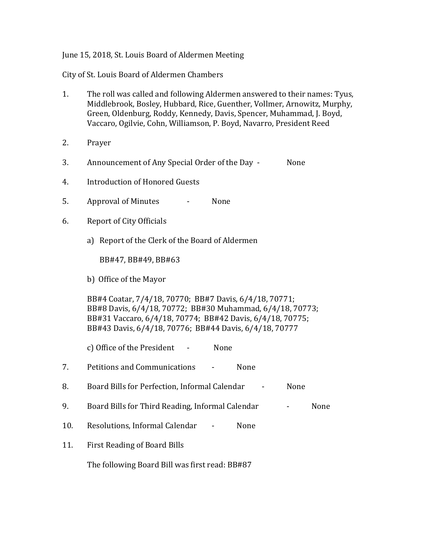## June 15, 2018, St. Louis Board of Aldermen Meeting

City of St. Louis Board of Aldermen Chambers

- 1. The roll was called and following Aldermen answered to their names: Tyus, Middlebrook, Bosley, Hubbard, Rice, Guenther, Vollmer, Arnowitz, Murphy, Green, Oldenburg, Roddy, Kennedy, Davis, Spencer, Muhammad, J. Boyd, Vaccaro, Ogilvie, Cohn, Williamson, P. Boyd, Navarro, President Reed
- 2. Prayer
- 3. Announcement of Any Special Order of the Day None
- 4. Introduction of Honored Guests
- 5. Approval of Minutes None
- 6. Report of City Officials
	- a) Report of the Clerk of the Board of Aldermen

BB#47, BB#49, BB#63

b) Office of the Mayor

BB#4 Coatar, 7/4/18, 70770; BB#7 Davis, 6/4/18, 70771; BB#8 Davis, 6/4/18, 70772; BB#30 Muhammad, 6/4/18, 70773; BB#31 Vaccaro, 6/4/18, 70774; BB#42 Davis, 6/4/18, 70775; BB#43 Davis, 6/4/18, 70776; BB#44 Davis, 6/4/18, 70777

c) Office of the President - None

- 7. Petitions and Communications None
- 8. Board Bills for Perfection, Informal Calendar None
- 9. Board Bills for Third Reading, Informal Calendar Fash Cone
- 10. Resolutions, Informal Calendar None
- 11. First Reading of Board Bills

The following Board Bill was first read: BB#87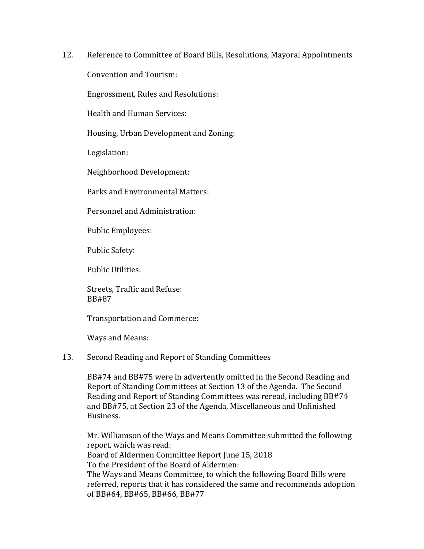12. Reference to Committee of Board Bills, Resolutions, Mayoral Appointments

Convention and Tourism:

Engrossment, Rules and Resolutions:

Health and Human Services:

Housing, Urban Development and Zoning:

Legislation:

Neighborhood Development:

Parks and Environmental Matters:

Personnel and Administration:

Public Employees:

Public Safety:

Public Utilities:

Streets, Traffic and Refuse: BB#87

Transportation and Commerce:

Ways and Means:

## 13. Second Reading and Report of Standing Committees

BB#74 and BB#75 were in advertently omitted in the Second Reading and Report of Standing Committees at Section 13 of the Agenda. The Second Reading and Report of Standing Committees was reread, including BB#74 and BB#75, at Section 23 of the Agenda, Miscellaneous and Unfinished Business.

Mr. Williamson of the Ways and Means Committee submitted the following report, which was read: Board of Aldermen Committee Report June 15, 2018 To the President of the Board of Aldermen: The Ways and Means Committee, to which the following Board Bills were referred, reports that it has considered the same and recommends adoption of BB#64, BB#65, BB#66, BB#77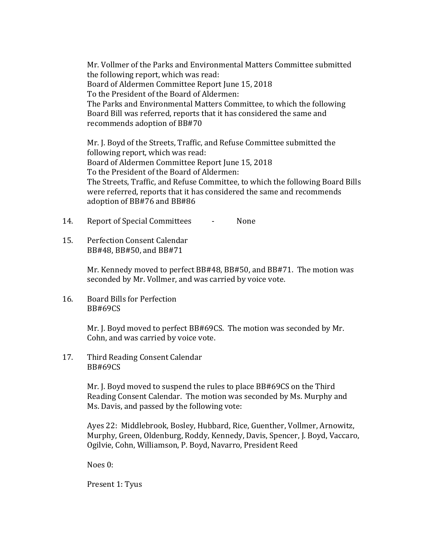Mr. Vollmer of the Parks and Environmental Matters Committee submitted the following report, which was read: Board of Aldermen Committee Report June 15, 2018 To the President of the Board of Aldermen: The Parks and Environmental Matters Committee, to which the following Board Bill was referred, reports that it has considered the same and recommends adoption of BB#70

Mr. J. Boyd of the Streets, Traffic, and Refuse Committee submitted the following report, which was read: Board of Aldermen Committee Report June 15, 2018 To the President of the Board of Aldermen: The Streets, Traffic, and Refuse Committee, to which the following Board Bills were referred, reports that it has considered the same and recommends adoption of BB#76 and BB#86

14. Report of Special Committees - None

15. Perfection Consent Calendar BB#48, BB#50, and BB#71

> Mr. Kennedy moved to perfect BB#48, BB#50, and BB#71. The motion was seconded by Mr. Vollmer, and was carried by voice vote.

16. Board Bills for Perfection BB#69CS

> Mr. J. Boyd moved to perfect BB#69CS. The motion was seconded by Mr. Cohn, and was carried by voice vote.

17. Third Reading Consent Calendar BB#69CS

> Mr. J. Boyd moved to suspend the rules to place BB#69CS on the Third Reading Consent Calendar. The motion was seconded by Ms. Murphy and Ms. Davis, and passed by the following vote:

Ayes 22: Middlebrook, Bosley, Hubbard, Rice, Guenther, Vollmer, Arnowitz, Murphy, Green, Oldenburg, Roddy, Kennedy, Davis, Spencer, J. Boyd, Vaccaro, Ogilvie, Cohn, Williamson, P. Boyd, Navarro, President Reed

Noes 0:

Present 1: Tyus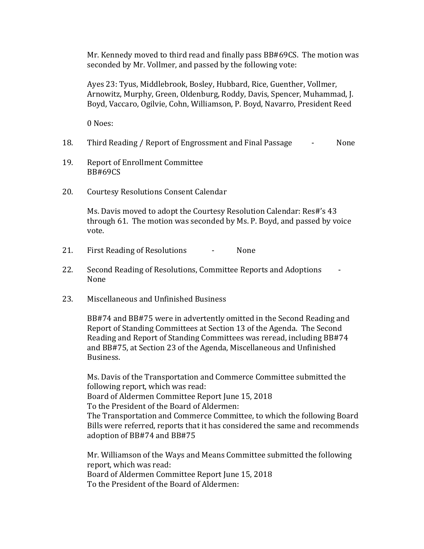Mr. Kennedy moved to third read and finally pass BB#69CS. The motion was seconded by Mr. Vollmer, and passed by the following vote:

Ayes 23: Tyus, Middlebrook, Bosley, Hubbard, Rice, Guenther, Vollmer, Arnowitz, Murphy, Green, Oldenburg, Roddy, Davis, Spencer, Muhammad, J. Boyd, Vaccaro, Ogilvie, Cohn, Williamson, P. Boyd, Navarro, President Reed

0 Noes:

- 18. Third Reading / Report of Engrossment and Final Passage  $\qquad \qquad$  None
- 19. Report of Enrollment Committee BB#69CS
- 20. Courtesy Resolutions Consent Calendar

Ms. Davis moved to adopt the Courtesy Resolution Calendar: Res#'s 43 through 61. The motion was seconded by Ms. P. Boyd, and passed by voice vote.

- 21. First Reading of Resolutions None
- 22. Second Reading of Resolutions, Committee Reports and Adoptions None
- 23. Miscellaneous and Unfinished Business

BB#74 and BB#75 were in advertently omitted in the Second Reading and Report of Standing Committees at Section 13 of the Agenda. The Second Reading and Report of Standing Committees was reread, including BB#74 and BB#75, at Section 23 of the Agenda, Miscellaneous and Unfinished Business.

Ms. Davis of the Transportation and Commerce Committee submitted the following report, which was read: Board of Aldermen Committee Report June 15, 2018 To the President of the Board of Aldermen: The Transportation and Commerce Committee, to which the following Board Bills were referred, reports that it has considered the same and recommends adoption of BB#74 and BB#75

Mr. Williamson of the Ways and Means Committee submitted the following report, which was read: Board of Aldermen Committee Report June 15, 2018 To the President of the Board of Aldermen: